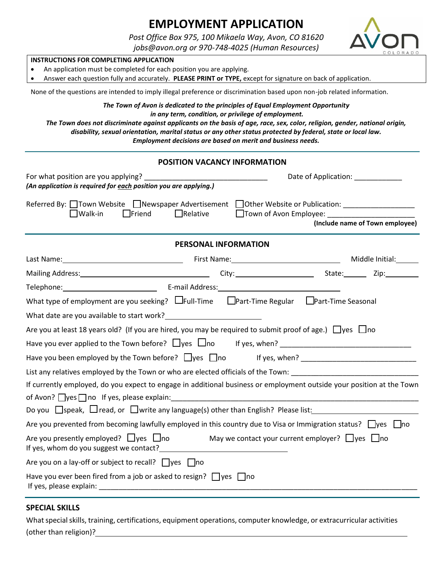# **EMPLOYMENT APPLICATION**

*Post Office Box 975, 100 Mikaela Way, Avon, CO 81620*

*jobs@avon.org or 970-748-4025 (Human Resources)*



## **INSTRUCTIONS FOR COMPLETING APPLICATION**

• An application must be completed for each position you are applying.

• Answer each question fully and accurately. **PLEASE PRINT or TYPE,** except for signature on back of application.

None of the questions are intended to imply illegal preference or discrimination based upon non-job related information.

*The Town of Avon is dedicated to the principles of Equal Employment Opportunity*

*in any term, condition, or privilege of employment.*

*The Town does not discriminate against applicants on the basis of age, race, sex, color, religion, gender, national origin, disability, sexual orientation, marital status or any other status protected by federal, state or local law. Employment decisions are based on merit and business needs.*

## **POSITION VACANCY INFORMATION**

| (An application is required for each position you are applying.)                                                                                                                                                               | Date of Application: 2000 2010                            |  |  |  |
|--------------------------------------------------------------------------------------------------------------------------------------------------------------------------------------------------------------------------------|-----------------------------------------------------------|--|--|--|
| Referred By: □Town Website □Newspaper Advertisement □Other Website or Publication: _______________<br>$\Box$ Relative<br>$\Box$ Walk-in<br>$\Box$ Friend                                                                       | Town of Avon Employee:<br>(Include name of Town employee) |  |  |  |
| PERSONAL INFORMATION                                                                                                                                                                                                           |                                                           |  |  |  |
| Last Name: Middle Initial: Manne: Middle Initial: Manne: Middle Initial: Middle Initial: Middle Initial: Middle Initial: Middle Initial: Middle Initial: Middle Initial: Middle Initial: Middle Initial: Middle Initial: Middl |                                                           |  |  |  |
|                                                                                                                                                                                                                                |                                                           |  |  |  |
|                                                                                                                                                                                                                                |                                                           |  |  |  |
| What type of employment are you seeking? $\Box$ Full-Time $\Box$ Part-Time Regular $\Box$ Part-Time Seasonal                                                                                                                   |                                                           |  |  |  |
|                                                                                                                                                                                                                                |                                                           |  |  |  |
| Are you at least 18 years old? (If you are hired, you may be required to submit proof of age.) $\Box$ yes $\Box$ no                                                                                                            |                                                           |  |  |  |
|                                                                                                                                                                                                                                |                                                           |  |  |  |
|                                                                                                                                                                                                                                |                                                           |  |  |  |
| List any relatives employed by the Town or who are elected officials of the Town: ___________________________                                                                                                                  |                                                           |  |  |  |
| If currently employed, do you expect to engage in additional business or employment outside your position at the Town                                                                                                          |                                                           |  |  |  |
|                                                                                                                                                                                                                                |                                                           |  |  |  |
|                                                                                                                                                                                                                                |                                                           |  |  |  |
| Are you prevented from becoming lawfully employed in this country due to Visa or Immigration status? $\Box$ yes $\Box$ no                                                                                                      |                                                           |  |  |  |
| Are you presently employed? $\Box$ yes $\Box$ no May we contact your current employer? $\Box$ yes $\Box$ no                                                                                                                    |                                                           |  |  |  |
| Are you on a lay-off or subject to recall? $\Box$ yes $\Box$ no                                                                                                                                                                |                                                           |  |  |  |
| Have you ever been fired from a job or asked to resign? $\Box$ yes $\Box$ no                                                                                                                                                   |                                                           |  |  |  |

## **SPECIAL SKILLS**

What special skills, training, certifications, equipment operations, computer knowledge, or extracurricular activities (other than religion)?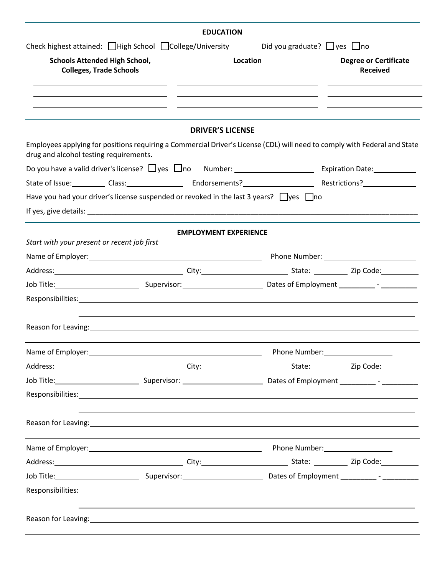|                                                                        | <b>EDUCATION</b>                                                                                                                                                                                                               |                                        |                                                 |
|------------------------------------------------------------------------|--------------------------------------------------------------------------------------------------------------------------------------------------------------------------------------------------------------------------------|----------------------------------------|-------------------------------------------------|
|                                                                        | Check highest attained: High School College/University                                                                                                                                                                         | Did you graduate? $\Box$ yes $\Box$ no |                                                 |
| <b>Schools Attended High School,</b><br><b>Colleges, Trade Schools</b> |                                                                                                                                                                                                                                | Location                               | <b>Degree or Certificate</b><br><b>Received</b> |
|                                                                        |                                                                                                                                                                                                                                |                                        |                                                 |
|                                                                        | <b>DRIVER'S LICENSE</b>                                                                                                                                                                                                        |                                        |                                                 |
| drug and alcohol testing requirements.                                 | Employees applying for positions requiring a Commercial Driver's License (CDL) will need to comply with Federal and State                                                                                                      |                                        |                                                 |
|                                                                        |                                                                                                                                                                                                                                |                                        |                                                 |
|                                                                        | State of Issue: Class: Class: Endorsements? Restrictions? Restrictions.                                                                                                                                                        |                                        |                                                 |
|                                                                        | Have you had your driver's license suspended or revoked in the last 3 years? $\Box$ yes $\Box$ no                                                                                                                              |                                        |                                                 |
|                                                                        | If yes, give details: example and a series of the series of the series of the series of the series of the series of the series of the series of the series of the series of the series of the series of the series of the seri |                                        |                                                 |
|                                                                        | <b>EMPLOYMENT EXPERIENCE</b>                                                                                                                                                                                                   |                                        |                                                 |
| Start with your present or recent job first                            |                                                                                                                                                                                                                                |                                        |                                                 |
|                                                                        |                                                                                                                                                                                                                                |                                        |                                                 |
|                                                                        |                                                                                                                                                                                                                                |                                        |                                                 |
|                                                                        | Job Title: 2000 Company Supervisor: Company Context Company Contes of Employment 2000 Company 2000 Company Company Company 2000 Company 2000 Company 2000 Company 2000 Company 2000 Company 2000 Company 2000 Company 2000 Com |                                        |                                                 |
|                                                                        |                                                                                                                                                                                                                                |                                        |                                                 |
|                                                                        |                                                                                                                                                                                                                                |                                        |                                                 |
|                                                                        |                                                                                                                                                                                                                                |                                        |                                                 |
|                                                                        | Address: 2008. 2010. [2010] City: City: 2010. [2010] State: 2010. [2010] Zip Code: 2010. [2010] 21p Code:                                                                                                                      |                                        |                                                 |
|                                                                        | Job Title: 1000 Contract Communication Communication Communication Communication Communication Communication C                                                                                                                 |                                        |                                                 |
|                                                                        |                                                                                                                                                                                                                                |                                        |                                                 |
|                                                                        | Reason for Leaving: 1999 Contract to the contract of the contract of the contract of the contract of the contract of the contract of the contract of the contract of the contract of the contract of the contract of the contr |                                        |                                                 |
|                                                                        | Name of Employer: 1990 120 Manne of Employer: 1990 120 Manne of Employer: 1990 120 Manne of Employer: 1990 120                                                                                                                 |                                        |                                                 |
|                                                                        | Address: 2008. 2010. [2010] City: City: 2010. [2010] State: 2010. [2010] Zip Code: 2010. [2010] 21p Code:                                                                                                                      |                                        |                                                 |
|                                                                        | Job Title: 2000 Company Supervisor: Company Contest Company Contest Comployment 2000 - 2000 Company Company Co                                                                                                                 |                                        |                                                 |
|                                                                        |                                                                                                                                                                                                                                |                                        |                                                 |
|                                                                        |                                                                                                                                                                                                                                |                                        |                                                 |